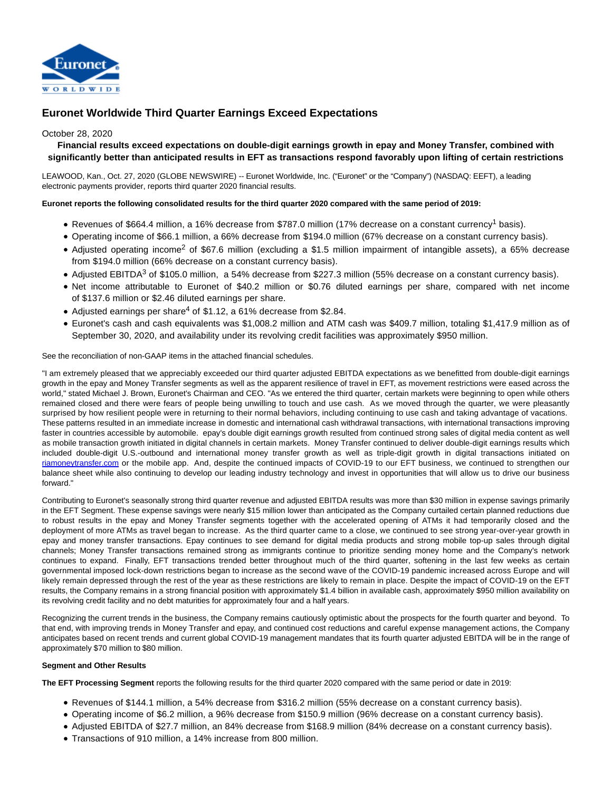

# **Euronet Worldwide Third Quarter Earnings Exceed Expectations**

### October 28, 2020

### **Financial results exceed expectations on double-digit earnings growth in epay and Money Transfer, combined with significantly better than anticipated results in EFT as transactions respond favorably upon lifting of certain restrictions**

LEAWOOD, Kan., Oct. 27, 2020 (GLOBE NEWSWIRE) -- Euronet Worldwide, Inc. ("Euronet" or the "Company") (NASDAQ: EEFT), a leading electronic payments provider, reports third quarter 2020 financial results.

#### **Euronet reports the following consolidated results for the third quarter 2020 compared with the same period of 2019:**

- Revenues of \$664.4 million, a 16% decrease from \$787.0 million (17% decrease on a constant currency<sup>1</sup> basis).
- Operating income of \$66.1 million, a 66% decrease from \$194.0 million (67% decrease on a constant currency basis).
- Adjusted operating income<sup>2</sup> of \$67.6 million (excluding a \$1.5 million impairment of intangible assets), a 65% decrease from \$194.0 million (66% decrease on a constant currency basis).
- Adjusted EBITDA<sup>3</sup> of \$105.0 million, a 54% decrease from \$227.3 million (55% decrease on a constant currency basis).
- Net income attributable to Euronet of \$40.2 million or \$0.76 diluted earnings per share, compared with net income of \$137.6 million or \$2.46 diluted earnings per share.
- Adjusted earnings per share<sup>4</sup> of \$1.12, a 61% decrease from \$2.84.
- Euronet's cash and cash equivalents was \$1,008.2 million and ATM cash was \$409.7 million, totaling \$1,417.9 million as of September 30, 2020, and availability under its revolving credit facilities was approximately \$950 million.

See the reconciliation of non-GAAP items in the attached financial schedules.

"I am extremely pleased that we appreciably exceeded our third quarter adjusted EBITDA expectations as we benefitted from double-digit earnings growth in the epay and Money Transfer segments as well as the apparent resilience of travel in EFT, as movement restrictions were eased across the world," stated Michael J. Brown, Euronet's Chairman and CEO. "As we entered the third quarter, certain markets were beginning to open while others remained closed and there were fears of people being unwilling to touch and use cash. As we moved through the quarter, we were pleasantly surprised by how resilient people were in returning to their normal behaviors, including continuing to use cash and taking advantage of vacations. These patterns resulted in an immediate increase in domestic and international cash withdrawal transactions, with international transactions improving faster in countries accessible by automobile. epay's double digit earnings growth resulted from continued strong sales of digital media content as well as mobile transaction growth initiated in digital channels in certain markets. Money Transfer continued to deliver double-digit earnings results which included double-digit U.S.-outbound and international money transfer growth as well as triple-digit growth in digital transactions initiated on [riamoneytransfer.com o](http://riamoneytransfer.com/)r the mobile app. And, despite the continued impacts of COVID-19 to our EFT business, we continued to strengthen our balance sheet while also continuing to develop our leading industry technology and invest in opportunities that will allow us to drive our business forward."

Contributing to Euronet's seasonally strong third quarter revenue and adjusted EBITDA results was more than \$30 million in expense savings primarily in the EFT Segment. These expense savings were nearly \$15 million lower than anticipated as the Company curtailed certain planned reductions due to robust results in the epay and Money Transfer segments together with the accelerated opening of ATMs it had temporarily closed and the deployment of more ATMs as travel began to increase. As the third quarter came to a close, we continued to see strong year-over-year growth in epay and money transfer transactions. Epay continues to see demand for digital media products and strong mobile top-up sales through digital channels; Money Transfer transactions remained strong as immigrants continue to prioritize sending money home and the Company's network continues to expand. Finally, EFT transactions trended better throughout much of the third quarter, softening in the last few weeks as certain governmental imposed lock-down restrictions began to increase as the second wave of the COVID-19 pandemic increased across Europe and will likely remain depressed through the rest of the year as these restrictions are likely to remain in place. Despite the impact of COVID-19 on the EFT results, the Company remains in a strong financial position with approximately \$1.4 billion in available cash, approximately \$950 million availability on its revolving credit facility and no debt maturities for approximately four and a half years.

Recognizing the current trends in the business, the Company remains cautiously optimistic about the prospects for the fourth quarter and beyond. To that end, with improving trends in Money Transfer and epay, and continued cost reductions and careful expense management actions, the Company anticipates based on recent trends and current global COVID-19 management mandates that its fourth quarter adjusted EBITDA will be in the range of approximately \$70 million to \$80 million.

#### **Segment and Other Results**

**The EFT Processing Segment** reports the following results for the third quarter 2020 compared with the same period or date in 2019:

- Revenues of \$144.1 million, a 54% decrease from \$316.2 million (55% decrease on a constant currency basis).
- Operating income of \$6.2 million, a 96% decrease from \$150.9 million (96% decrease on a constant currency basis).
- Adjusted EBITDA of \$27.7 million, an 84% decrease from \$168.9 million (84% decrease on a constant currency basis).
- Transactions of 910 million, a 14% increase from 800 million.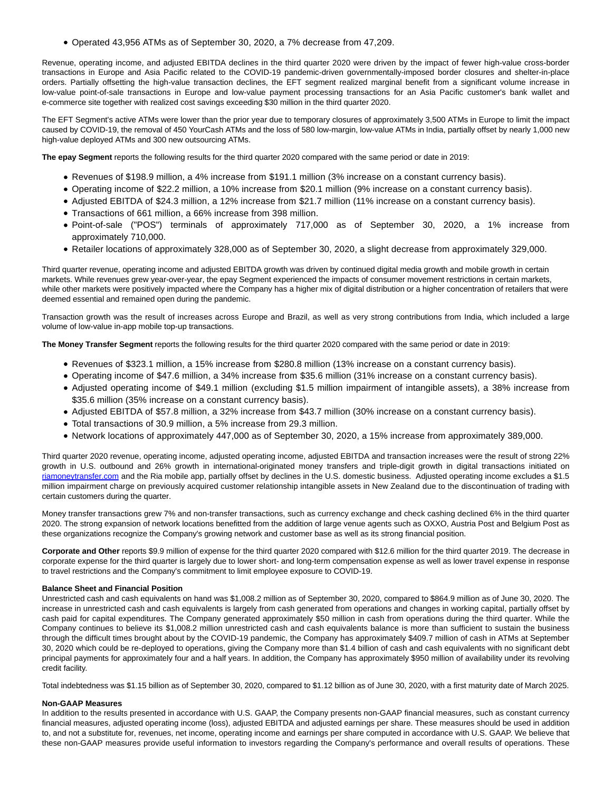Operated 43,956 ATMs as of September 30, 2020, a 7% decrease from 47,209.

Revenue, operating income, and adjusted EBITDA declines in the third quarter 2020 were driven by the impact of fewer high-value cross-border transactions in Europe and Asia Pacific related to the COVID-19 pandemic-driven governmentally-imposed border closures and shelter-in-place orders. Partially offsetting the high-value transaction declines, the EFT segment realized marginal benefit from a significant volume increase in low-value point-of-sale transactions in Europe and low-value payment processing transactions for an Asia Pacific customer's bank wallet and e-commerce site together with realized cost savings exceeding \$30 million in the third quarter 2020.

The EFT Segment's active ATMs were lower than the prior year due to temporary closures of approximately 3,500 ATMs in Europe to limit the impact caused by COVID-19, the removal of 450 YourCash ATMs and the loss of 580 low-margin, low-value ATMs in India, partially offset by nearly 1,000 new high-value deployed ATMs and 300 new outsourcing ATMs.

**The epay Segment** reports the following results for the third quarter 2020 compared with the same period or date in 2019:

- Revenues of \$198.9 million, a 4% increase from \$191.1 million (3% increase on a constant currency basis).
- Operating income of \$22.2 million, a 10% increase from \$20.1 million (9% increase on a constant currency basis).
- Adjusted EBITDA of \$24.3 million, a 12% increase from \$21.7 million (11% increase on a constant currency basis).
- Transactions of 661 million, a 66% increase from 398 million.
- Point-of-sale ("POS") terminals of approximately 717,000 as of September 30, 2020, a 1% increase from approximately 710,000.
- Retailer locations of approximately 328,000 as of September 30, 2020, a slight decrease from approximately 329,000.

Third quarter revenue, operating income and adjusted EBITDA growth was driven by continued digital media growth and mobile growth in certain markets. While revenues grew year-over-year, the epay Segment experienced the impacts of consumer movement restrictions in certain markets, while other markets were positively impacted where the Company has a higher mix of digital distribution or a higher concentration of retailers that were deemed essential and remained open during the pandemic.

Transaction growth was the result of increases across Europe and Brazil, as well as very strong contributions from India, which included a large volume of low-value in-app mobile top-up transactions.

**The Money Transfer Segment** reports the following results for the third quarter 2020 compared with the same period or date in 2019:

- Revenues of \$323.1 million, a 15% increase from \$280.8 million (13% increase on a constant currency basis).
- Operating income of \$47.6 million, a 34% increase from \$35.6 million (31% increase on a constant currency basis).
- Adjusted operating income of \$49.1 million (excluding \$1.5 million impairment of intangible assets), a 38% increase from \$35.6 million (35% increase on a constant currency basis).
- Adjusted EBITDA of \$57.8 million, a 32% increase from \$43.7 million (30% increase on a constant currency basis).
- Total transactions of 30.9 million, a 5% increase from 29.3 million.
- Network locations of approximately 447,000 as of September 30, 2020, a 15% increase from approximately 389,000.

Third quarter 2020 revenue, operating income, adjusted operating income, adjusted EBITDA and transaction increases were the result of strong 22% growth in U.S. outbound and 26% growth in international-originated money transfers and triple-digit growth in digital transactions initiated on [riamoneytransfer.com a](http://riamoneytransfer.com/)nd the Ria mobile app, partially offset by declines in the U.S. domestic business. Adjusted operating income excludes a \$1.5 million impairment charge on previously acquired customer relationship intangible assets in New Zealand due to the discontinuation of trading with certain customers during the quarter.

Money transfer transactions grew 7% and non-transfer transactions, such as currency exchange and check cashing declined 6% in the third quarter 2020. The strong expansion of network locations benefitted from the addition of large venue agents such as OXXO, Austria Post and Belgium Post as these organizations recognize the Company's growing network and customer base as well as its strong financial position.

**Corporate and Other** reports \$9.9 million of expense for the third quarter 2020 compared with \$12.6 million for the third quarter 2019. The decrease in corporate expense for the third quarter is largely due to lower short- and long-term compensation expense as well as lower travel expense in response to travel restrictions and the Company's commitment to limit employee exposure to COVID-19.

#### **Balance Sheet and Financial Position**

Unrestricted cash and cash equivalents on hand was \$1,008.2 million as of September 30, 2020, compared to \$864.9 million as of June 30, 2020. The increase in unrestricted cash and cash equivalents is largely from cash generated from operations and changes in working capital, partially offset by cash paid for capital expenditures. The Company generated approximately \$50 million in cash from operations during the third quarter. While the Company continues to believe its \$1,008.2 million unrestricted cash and cash equivalents balance is more than sufficient to sustain the business through the difficult times brought about by the COVID-19 pandemic, the Company has approximately \$409.7 million of cash in ATMs at September 30, 2020 which could be re-deployed to operations, giving the Company more than \$1.4 billion of cash and cash equivalents with no significant debt principal payments for approximately four and a half years. In addition, the Company has approximately \$950 million of availability under its revolving credit facility.

Total indebtedness was \$1.15 billion as of September 30, 2020, compared to \$1.12 billion as of June 30, 2020, with a first maturity date of March 2025.

#### **Non-GAAP Measures**

In addition to the results presented in accordance with U.S. GAAP, the Company presents non-GAAP financial measures, such as constant currency financial measures, adjusted operating income (loss), adjusted EBITDA and adjusted earnings per share. These measures should be used in addition to, and not a substitute for, revenues, net income, operating income and earnings per share computed in accordance with U.S. GAAP. We believe that these non-GAAP measures provide useful information to investors regarding the Company's performance and overall results of operations. These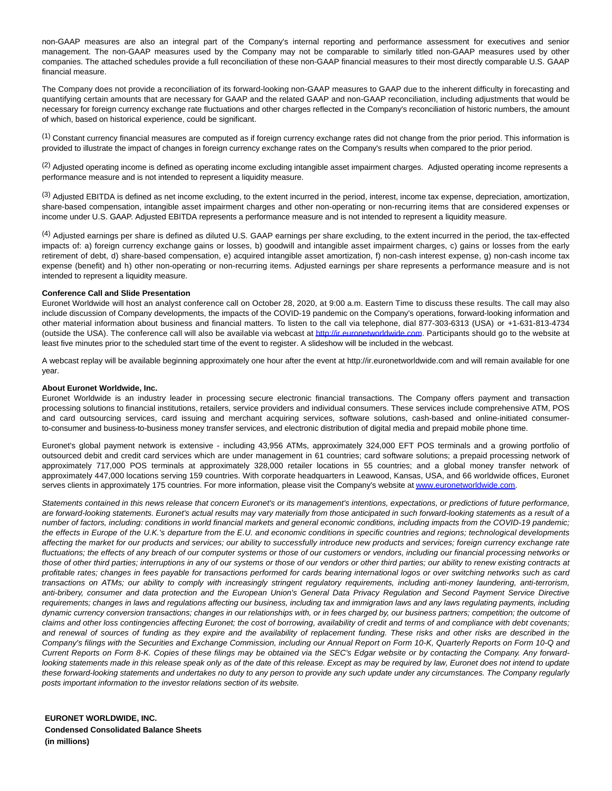non-GAAP measures are also an integral part of the Company's internal reporting and performance assessment for executives and senior management. The non-GAAP measures used by the Company may not be comparable to similarly titled non-GAAP measures used by other companies. The attached schedules provide a full reconciliation of these non-GAAP financial measures to their most directly comparable U.S. GAAP financial measure.

The Company does not provide a reconciliation of its forward-looking non-GAAP measures to GAAP due to the inherent difficulty in forecasting and quantifying certain amounts that are necessary for GAAP and the related GAAP and non-GAAP reconciliation, including adjustments that would be necessary for foreign currency exchange rate fluctuations and other charges reflected in the Company's reconciliation of historic numbers, the amount of which, based on historical experience, could be significant.

(1) Constant currency financial measures are computed as if foreign currency exchange rates did not change from the prior period. This information is provided to illustrate the impact of changes in foreign currency exchange rates on the Company's results when compared to the prior period.

 $<sup>(2)</sup>$  Adjusted operating income is defined as operating income excluding intangible asset impairment charges. Adjusted operating income represents a</sup> performance measure and is not intended to represent a liquidity measure.

<sup>(3)</sup> Adjusted EBITDA is defined as net income excluding, to the extent incurred in the period, interest, income tax expense, depreciation, amortization, share-based compensation, intangible asset impairment charges and other non-operating or non-recurring items that are considered expenses or income under U.S. GAAP. Adjusted EBITDA represents a performance measure and is not intended to represent a liquidity measure.

(4) Adjusted earnings per share is defined as diluted U.S. GAAP earnings per share excluding, to the extent incurred in the period, the tax-effected impacts of: a) foreign currency exchange gains or losses, b) goodwill and intangible asset impairment charges, c) gains or losses from the early retirement of debt, d) share-based compensation, e) acquired intangible asset amortization, f) non-cash interest expense, g) non-cash income tax expense (benefit) and h) other non-operating or non-recurring items. Adjusted earnings per share represents a performance measure and is not intended to represent a liquidity measure.

#### **Conference Call and Slide Presentation**

Euronet Worldwide will host an analyst conference call on October 28, 2020, at 9:00 a.m. Eastern Time to discuss these results. The call may also include discussion of Company developments, the impacts of the COVID-19 pandemic on the Company's operations, forward-looking information and other material information about business and financial matters. To listen to the call via telephone, dial 877-303-6313 (USA) or +1-631-813-4734 (outside the USA). The conference call will also be available via webcast at [http://ir.euronetworldwide.com.](http://ir.euronetworldwide.com/) Participants should go to the website at least five minutes prior to the scheduled start time of the event to register. A slideshow will be included in the webcast.

A webcast replay will be available beginning approximately one hour after the event at http://ir.euronetworldwide.com and will remain available for one year.

#### **About Euronet Worldwide, Inc.**

Euronet Worldwide is an industry leader in processing secure electronic financial transactions. The Company offers payment and transaction processing solutions to financial institutions, retailers, service providers and individual consumers. These services include comprehensive ATM, POS and card outsourcing services, card issuing and merchant acquiring services, software solutions, cash-based and online-initiated consumerto-consumer and business-to-business money transfer services, and electronic distribution of digital media and prepaid mobile phone time.

Euronet's global payment network is extensive - including 43,956 ATMs, approximately 324,000 EFT POS terminals and a growing portfolio of outsourced debit and credit card services which are under management in 61 countries; card software solutions; a prepaid processing network of approximately 717,000 POS terminals at approximately 328,000 retailer locations in 55 countries; and a global money transfer network of approximately 447,000 locations serving 159 countries. With corporate headquarters in Leawood, Kansas, USA, and 66 worldwide offices, Euronet serves clients in approximately 175 countries. For more information, please visit the Company's website a[t www.euronetworldwide.com.](http://www.euronetworldwide.com/)

Statements contained in this news release that concern Euronet's or its management's intentions, expectations, or predictions of future performance, are forward-looking statements. Euronet's actual results may vary materially from those anticipated in such forward-looking statements as a result of a number of factors, including: conditions in world financial markets and general economic conditions, including impacts from the COVID-19 pandemic; the effects in Europe of the U.K.'s departure from the E.U. and economic conditions in specific countries and regions; technological developments affecting the market for our products and services; our ability to successfully introduce new products and services; foreign currency exchange rate fluctuations; the effects of any breach of our computer systems or those of our customers or vendors, including our financial processing networks or those of other third parties; interruptions in any of our systems or those of our vendors or other third parties; our ability to renew existing contracts at profitable rates; changes in fees payable for transactions performed for cards bearing international logos or over switching networks such as card transactions on ATMs; our ability to comply with increasingly stringent regulatory requirements, including anti-money laundering, anti-terrorism, anti-bribery, consumer and data protection and the European Union's General Data Privacy Regulation and Second Payment Service Directive requirements; changes in laws and regulations affecting our business, including tax and immigration laws and any laws regulating payments, including dynamic currency conversion transactions; changes in our relationships with, or in fees charged by, our business partners; competition; the outcome of claims and other loss contingencies affecting Euronet; the cost of borrowing, availability of credit and terms of and compliance with debt covenants; and renewal of sources of funding as they expire and the availability of replacement funding. These risks and other risks are described in the Company's filings with the Securities and Exchange Commission, including our Annual Report on Form 10-K, Quarterly Reports on Form 10-Q and Current Reports on Form 8-K. Copies of these filings may be obtained via the SEC's Edgar website or by contacting the Company. Any forwardlooking statements made in this release speak only as of the date of this release. Except as may be required by law, Euronet does not intend to update these forward-looking statements and undertakes no duty to any person to provide any such update under any circumstances. The Company regularly posts important information to the investor relations section of its website.

 **EURONET WORLDWIDE, INC. Condensed Consolidated Balance Sheets (in millions)**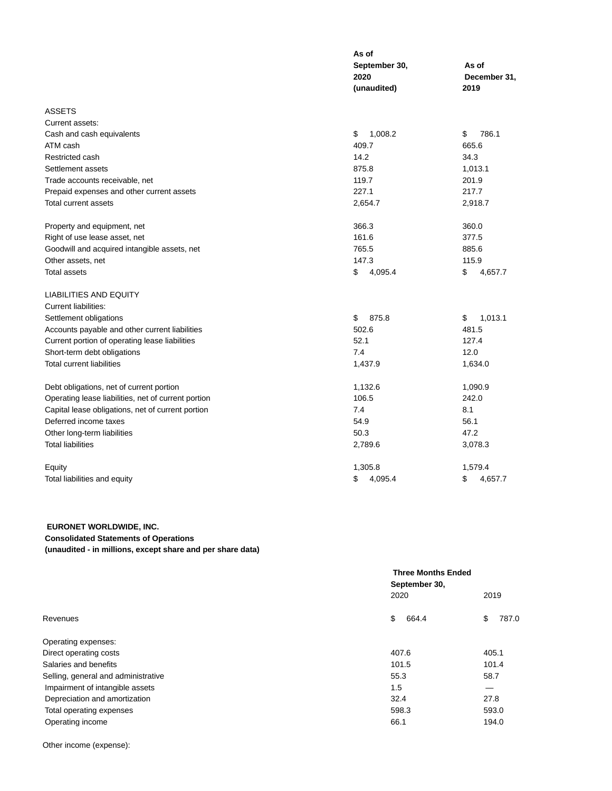|                                                     | As of         |               |  |  |
|-----------------------------------------------------|---------------|---------------|--|--|
|                                                     | September 30, | As of         |  |  |
|                                                     | 2020          | December 31,  |  |  |
|                                                     | (unaudited)   | 2019          |  |  |
| <b>ASSETS</b>                                       |               |               |  |  |
| Current assets:                                     |               |               |  |  |
| Cash and cash equivalents                           | \$<br>1,008.2 | \$<br>786.1   |  |  |
| ATM cash                                            | 409.7         | 665.6         |  |  |
| Restricted cash                                     | 14.2          | 34.3          |  |  |
| Settlement assets                                   | 875.8         | 1,013.1       |  |  |
| Trade accounts receivable, net                      | 119.7         | 201.9         |  |  |
| Prepaid expenses and other current assets           | 227.1         | 217.7         |  |  |
| <b>Total current assets</b>                         | 2,654.7       | 2,918.7       |  |  |
| Property and equipment, net                         | 366.3         | 360.0         |  |  |
| Right of use lease asset, net                       | 161.6         | 377.5         |  |  |
| Goodwill and acquired intangible assets, net        | 765.5         | 885.6         |  |  |
| Other assets, net                                   | 147.3         | 115.9         |  |  |
| <b>Total assets</b>                                 | \$<br>4,095.4 | \$<br>4,657.7 |  |  |
| <b>LIABILITIES AND EQUITY</b>                       |               |               |  |  |
| <b>Current liabilities:</b>                         |               |               |  |  |
| Settlement obligations                              | \$<br>875.8   | 1,013.1<br>\$ |  |  |
| Accounts payable and other current liabilities      | 502.6         | 481.5         |  |  |
| Current portion of operating lease liabilities      | 52.1          | 127.4         |  |  |
| Short-term debt obligations                         | 7.4           | 12.0          |  |  |
| <b>Total current liabilities</b>                    | 1,437.9       | 1,634.0       |  |  |
| Debt obligations, net of current portion            | 1,132.6       | 1,090.9       |  |  |
| Operating lease liabilities, net of current portion | 106.5         | 242.0         |  |  |
| Capital lease obligations, net of current portion   | 7.4           | 8.1           |  |  |
| Deferred income taxes                               | 54.9          | 56.1          |  |  |
| Other long-term liabilities                         | 50.3          | 47.2          |  |  |
| <b>Total liabilities</b>                            | 2,789.6       | 3,078.3       |  |  |
| Equity                                              | 1,305.8       | 1,579.4       |  |  |
| Total liabilities and equity                        | \$<br>4,095.4 | \$<br>4,657.7 |  |  |

# **EURONET WORLDWIDE, INC. Consolidated Statements of Operations (unaudited - in millions, except share and per share data)**

|                                     | <b>Three Months Ended</b><br>September 30, |       |       |
|-------------------------------------|--------------------------------------------|-------|-------|
|                                     | 2020                                       | 2019  |       |
| Revenues                            | \$<br>664.4                                | \$    | 787.0 |
| Operating expenses:                 |                                            |       |       |
| Direct operating costs              | 407.6                                      | 405.1 |       |
| Salaries and benefits               | 101.5                                      | 101.4 |       |
| Selling, general and administrative | 55.3                                       | 58.7  |       |
| Impairment of intangible assets     | 1.5                                        | –     |       |
| Depreciation and amortization       | 32.4                                       | 27.8  |       |
| Total operating expenses            | 598.3                                      | 593.0 |       |
| Operating income                    | 66.1                                       | 194.0 |       |

Other income (expense):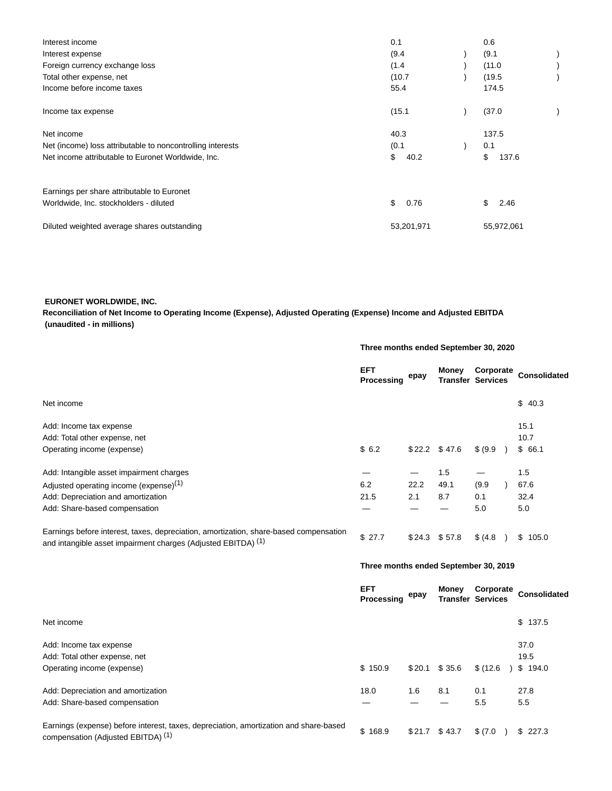| Interest income                                            | 0.1        | 0.6         |  |
|------------------------------------------------------------|------------|-------------|--|
| Interest expense                                           | (9.4)      | (9.1)       |  |
| Foreign currency exchange loss                             | (1.4)      | (11.0)      |  |
| Total other expense, net                                   | (10.7)     | (19.5)      |  |
| Income before income taxes                                 | 55.4       | 174.5       |  |
| Income tax expense                                         | (15.1)     | (37.0)      |  |
| Net income                                                 | 40.3       | 137.5       |  |
| Net (income) loss attributable to noncontrolling interests | (0.1)      | 0.1         |  |
| Net income attributable to Euronet Worldwide, Inc.         | \$<br>40.2 | \$<br>137.6 |  |
| Earnings per share attributable to Euronet                 |            |             |  |
| Worldwide, Inc. stockholders - diluted                     | \$<br>0.76 | \$.<br>2.46 |  |
| Diluted weighted average shares outstanding                | 53,201,971 | 55,972,061  |  |

### **EURONET WORLDWIDE, INC.**

**Reconciliation of Net Income to Operating Income (Expense), Adjusted Operating (Expense) Income and Adjusted EBITDA (unaudited - in millions)**

|                                                                                                                                                        | Three months ended September 30, 2020 |             |                    |                                       |                        |
|--------------------------------------------------------------------------------------------------------------------------------------------------------|---------------------------------------|-------------|--------------------|---------------------------------------|------------------------|
|                                                                                                                                                        | <b>EFT</b><br>Processing              | epay        | Money              | Corporate<br><b>Transfer Services</b> | <b>Consolidated</b>    |
| Net income                                                                                                                                             |                                       |             |                    |                                       | \$40.3                 |
| Add: Income tax expense<br>Add: Total other expense, net<br>Operating income (expense)                                                                 | \$6.2                                 |             | $$22.2$ $$47.6$    | \$ (9.9)                              | 15.1<br>10.7<br>\$66.1 |
| Add: Intangible asset impairment charges<br>Adjusted operating income (expense) <sup>(1)</sup><br>Add: Depreciation and amortization                   | 6.2<br>21.5                           | 22.2<br>2.1 | 1.5<br>49.1<br>8.7 | (9.9)<br>0.1                          | 1.5<br>67.6<br>32.4    |
| Add: Share-based compensation                                                                                                                          |                                       |             |                    | 5.0                                   | 5.0                    |
| Earnings before interest, taxes, depreciation, amortization, share-based compensation<br>and intangible asset impairment charges (Adjusted EBITDA) (1) | \$27.7                                | \$24.3      | \$57.8             | \$ (4.8)                              | \$<br>105.0            |
|                                                                                                                                                        |                                       |             |                    |                                       |                        |

# **Three months ended September 30, 2019**

|                                                                                                                                        | EFT<br>Processing epay |        | Money  | Corporate<br><b>Transfer Services</b> | Consolidated |
|----------------------------------------------------------------------------------------------------------------------------------------|------------------------|--------|--------|---------------------------------------|--------------|
| Net income                                                                                                                             |                        |        |        |                                       | \$137.5      |
| Add: Income tax expense<br>Add: Total other expense, net                                                                               |                        |        |        |                                       | 37.0<br>19.5 |
| Operating income (expense)                                                                                                             | \$150.9                | \$20.1 | \$35.6 | \$(12.6)                              | \$194.0      |
| Add: Depreciation and amortization                                                                                                     | 18.0                   | 1.6    | 8.1    | 0.1                                   | 27.8         |
| Add: Share-based compensation                                                                                                          |                        |        |        | 5.5                                   | 5.5          |
| Earnings (expense) before interest, taxes, depreciation, amortization and share-based<br>compensation (Adjusted EBITDA) <sup>(1)</sup> | \$168.9                | \$21.7 | \$43.7 | \$(7.0)                               | \$227.3      |